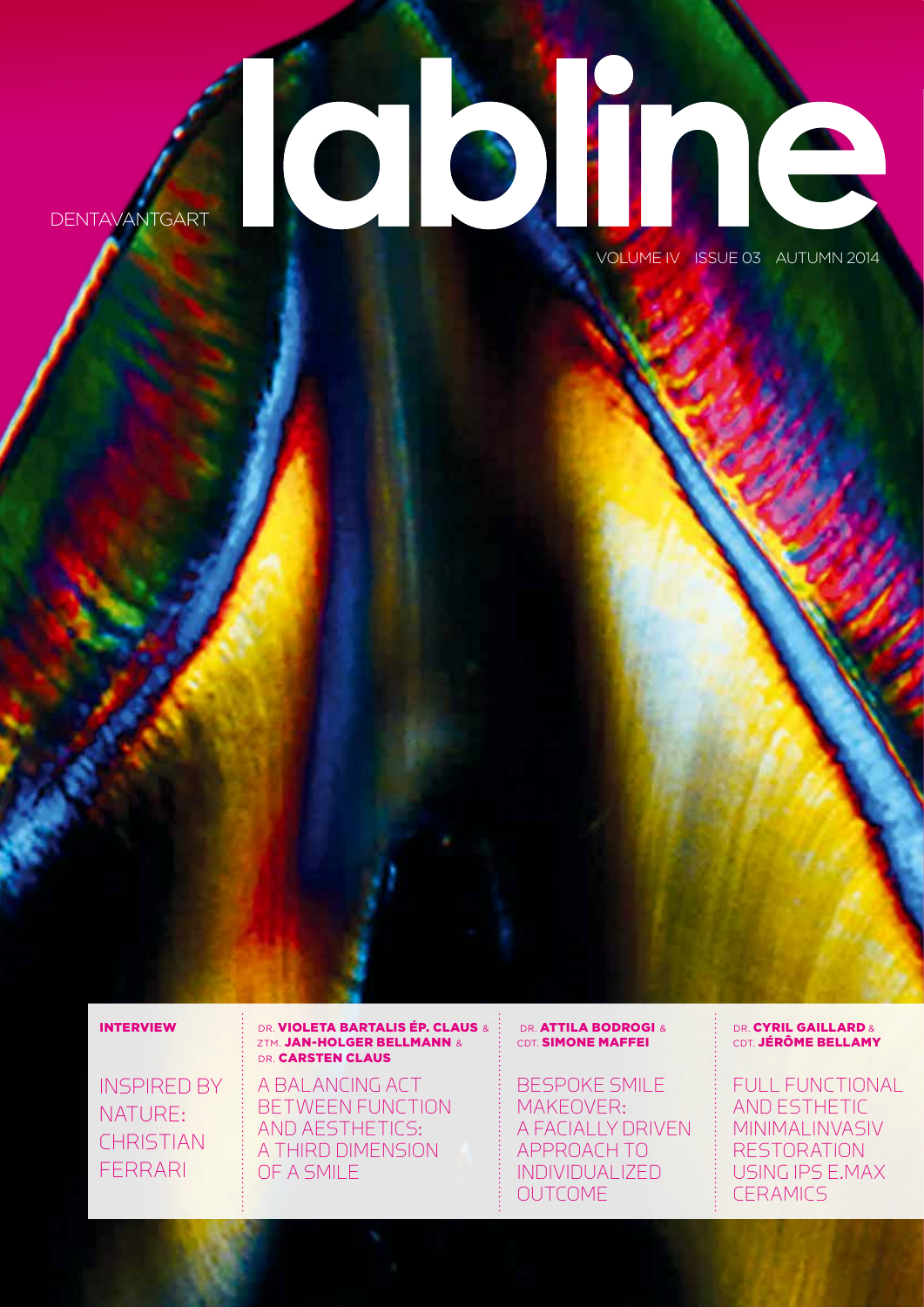# **DENTAVANTGART**

VOLUME IV ISSUE 03 AUTUMN 2014

#### INTERVIEW

INSPIRED BY NATURE: **CHRISTIAN** FERRARI

#### DR. **VIOLETA BARTALIS ÉP. CLAUS &** ZTM. **JAN-HOLGER BELLMANN &** DR. **CARSTEN CLAUS**

A BALANCING ACT BETWEEN FUNCTION AND AESTHETICS: A THIRD DIMENSION OF A SMILE

#### DR. **ATTILA BODROGI &** CDT. **SIMONE MAFFEI**

BESPOKE SMILE MAKEOVER: A FACIALLY DRIVEN APPROACH TO INDIVIDUALIZED OUTCOME

#### DR. CYRIL GAILLARD & CDT. JÉRÔME BELLAMY

FULL FUNCTIONAL AND ESTHETIC MINIMALINVASIV RESTORATION USING IPS E.MAX **CERAMICS**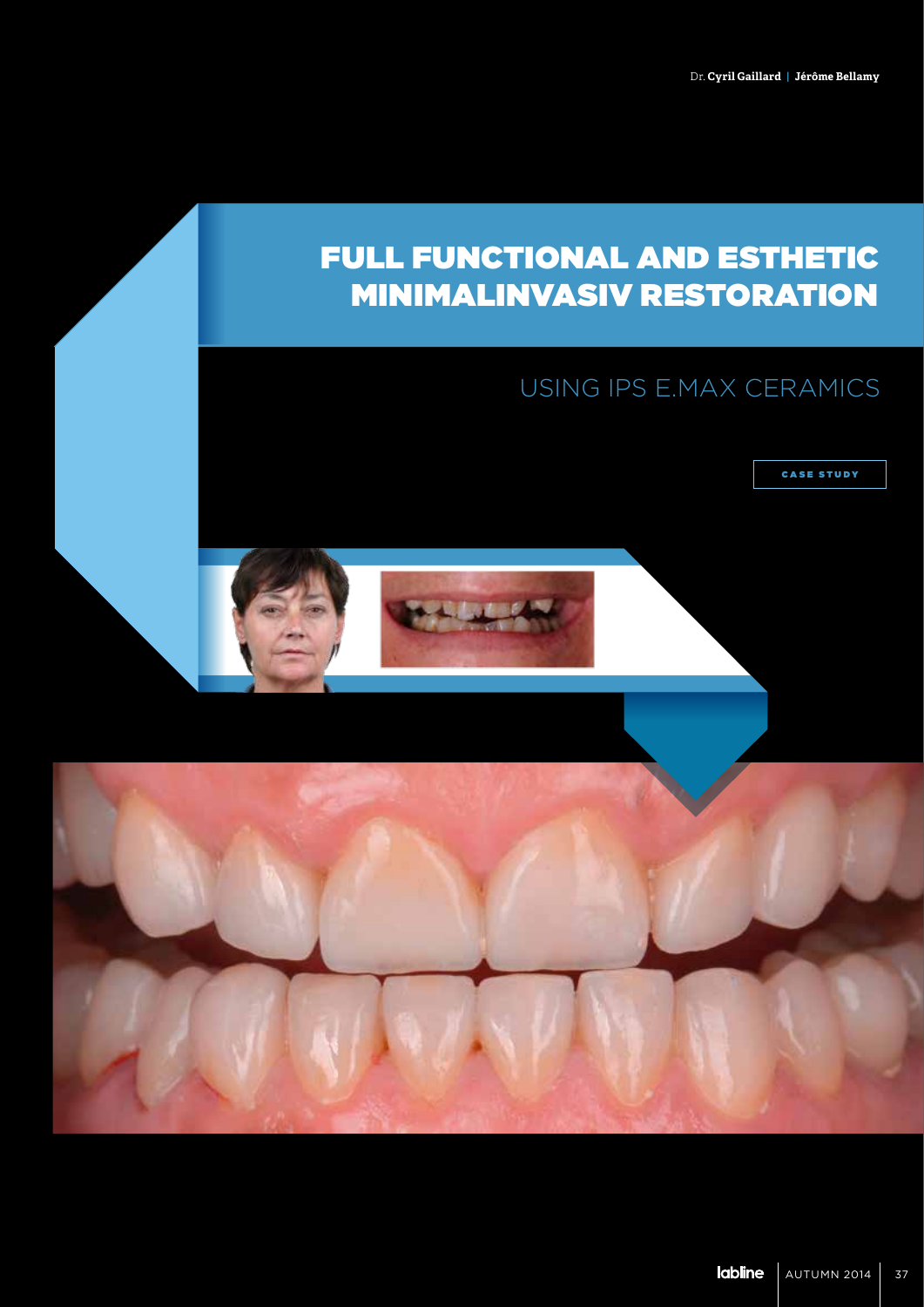## FULL FUNCTIONAL AND ESTHETIC MINIMALINVASIV RESTORATION

## USING IPS E.MAX CERAMICS

CASE STUDY

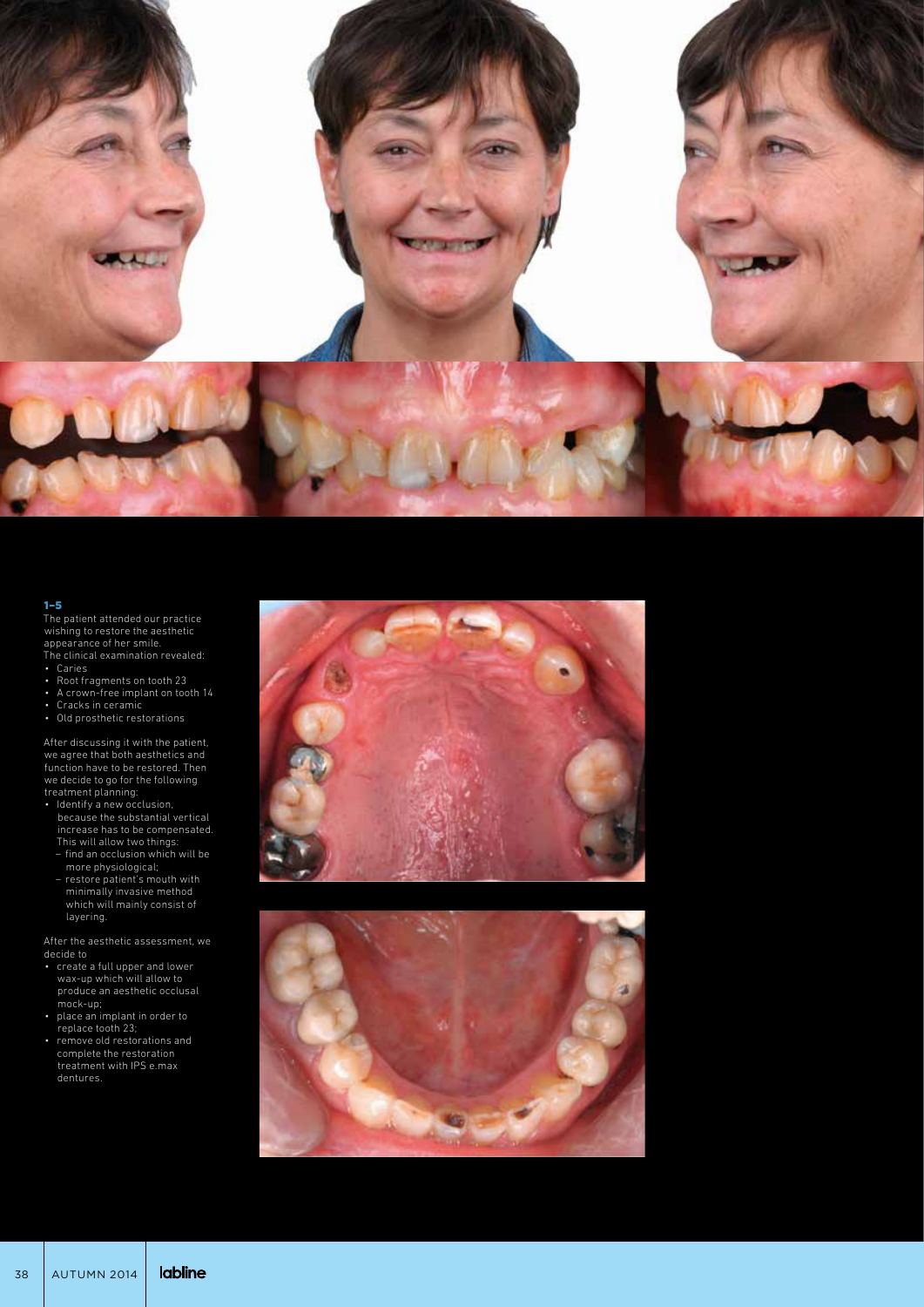

The patient attended our practice wishing to restore the aesthetic appearance of her smile. The clinical examination revealed:

- Caries
- Root fragments on tooth 23 • A crown-free implant on tooth 14
- Cracks in ceramic
- Old prosthetic restorations

After discussing it with the patient, we agree that both aesthetics and function have to be restored. Then we decide to go for the following treatment planning:

• Identify a new occlusion,

- because the substantial vertical increase has to be compensated. This will allow two things: – find an occlusion which will be
- more physiological;
- restore patient's mouth with minimally invasive method which will mainly consist of layering.

After the aesthetic assessment, we decide to

- create a full upper and lower wax-up which will allow to produce an aesthetic occlusal mock-up;
- place an implant in order to replace tooth 23;
- remove old restorations and complete the restoration treatment with IPS e.max dentures.



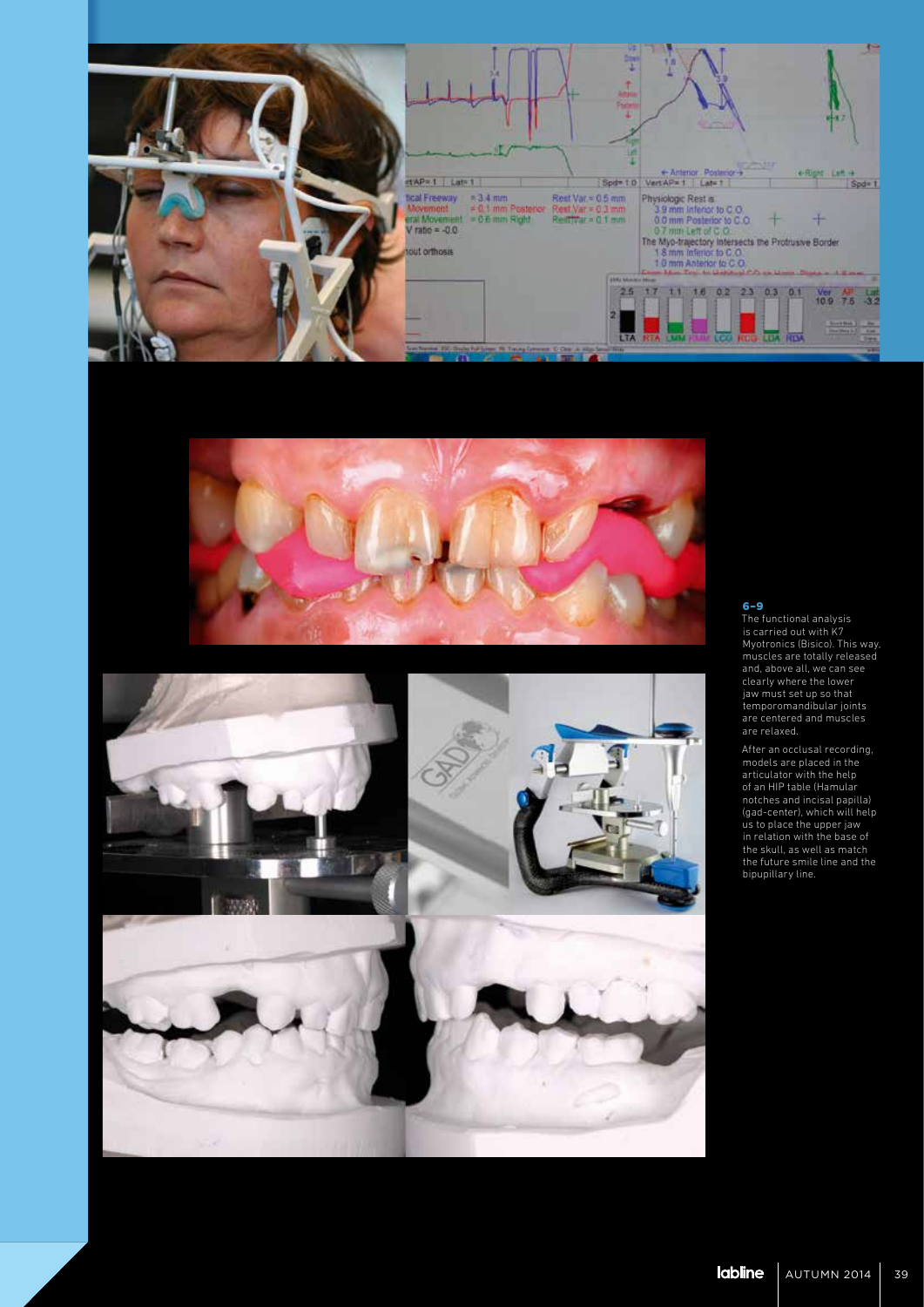





The functional analysis is carried out with K7 Myotronics (Bisico). This way, muscles are totally released and, above all, we can see clearly where the lower jaw must set up so that temporomandibular joints are centered and muscles are relaxed.

After an occlusal recording, models are placed in the articulator with the help of an HIP table (Hamular notches and incisal papilla) (gad-center), which will help us to place the upper jaw in relation with the base of the skull, as well as match the future smile line and the bipupillary line.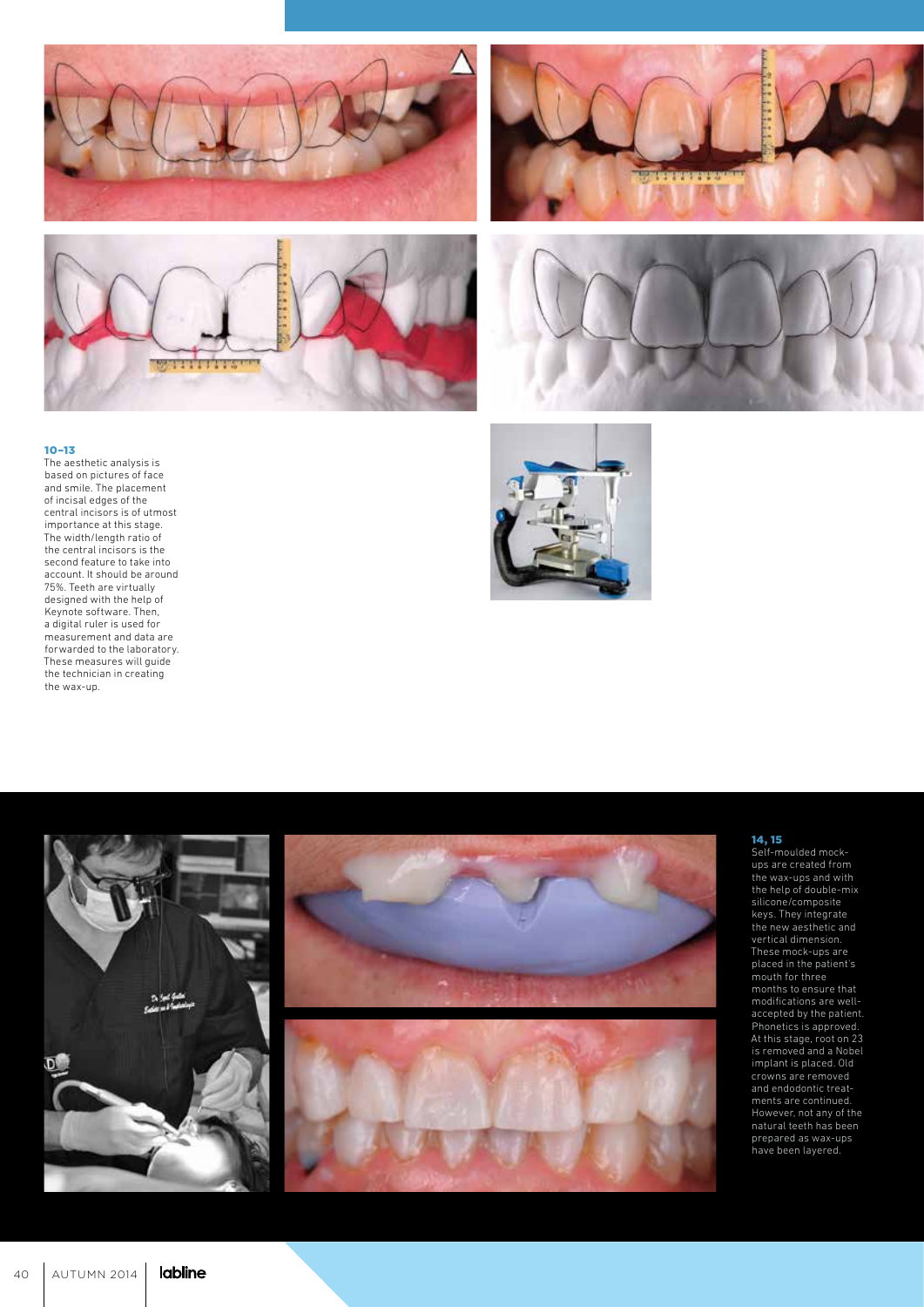







The aesthetic analysis is based on pictures of face and smile. The placement of incisal edges of the central incisors is of utmost importance at this stage. The width/length ratio of the central incisors is the second feature to take into account. It should be around 75%. Teeth are virtually designed with the help of Keynote software. Then, a digital ruler is used for measurement and data are forwarded to the laboratory. These measures will guide the technician in creating the wax-up.





#### 14, 15

Self-moulded mockups are created from the wax-ups and with the help of double-mix silicone/composite keys. They integrate the new aesthetic and vertical dimension. These mock-ups are placed in the patient's mouth for three months to ensure that modifications are wellaccepted by the patient. Phonetics is approved. At this stage, root on 23 is removed and a Nobel implant is placed. Old crowns are removed and endodontic treat ments are continued. However, not any of the natural teeth has been prepared as wax-ups have been layered.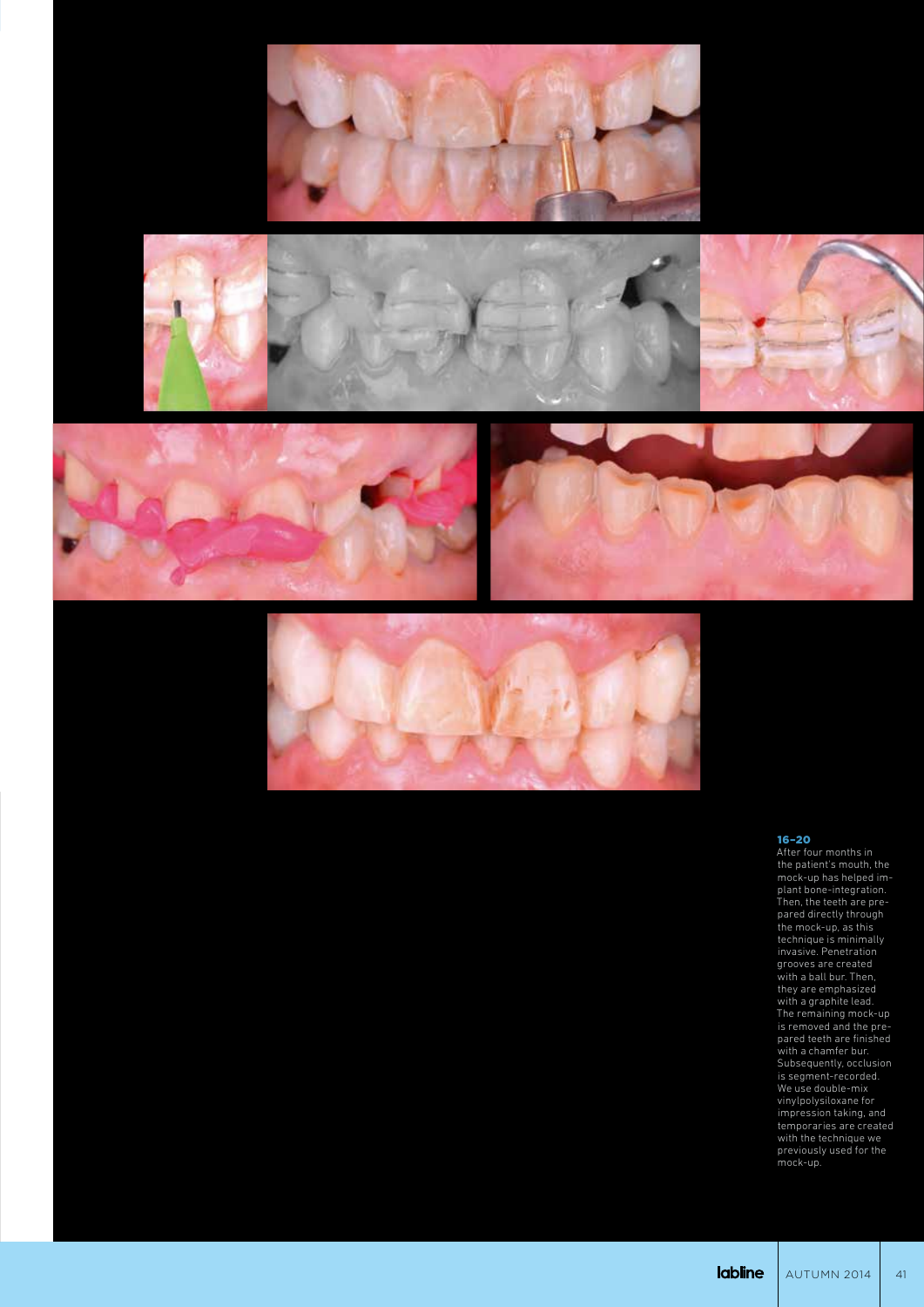











After four months in the patient's mouth, the mock-up has helped implant bone-integration. Then, the teeth are prepared directly through the mock-up, as this technique is minimally invasive. Penetration grooves are created with a ball bur. Then, they are emphasized with a graphite lead. The remaining mock-up is removed and the prepared teeth are finished with a chamfer bur. Subsequently, occlusion is segment-recorded. We use double-mix vinylpolysiloxane for impression taking, and temporaries are created with the technique we previously used for the mock-up.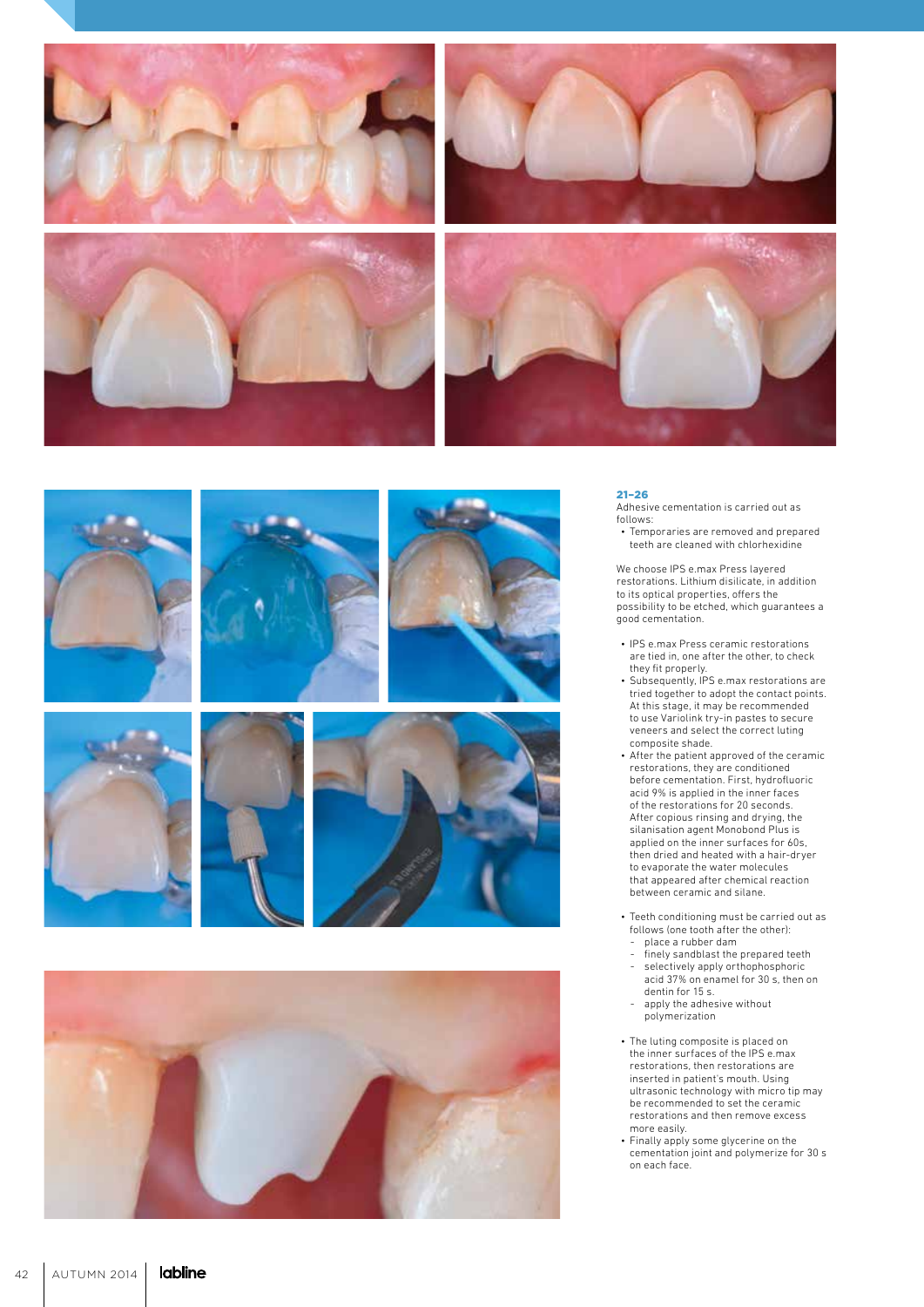











Adhesive cementation is carried out as follows:

• Temporaries are removed and prepared teeth are cleaned with chlorhexidine

We choose IPS e.max Press layered restorations. Lithium disilicate, in addition to its optical properties, offers the possibility to be etched, which guarantees a good cementation. • IPS e.max Press ceramic restorations

- are tied in, one after the other, to check they fit properly.
- Subsequently, IPS e.max restorations are tried together to adopt the contact points. At this stage, it may be recommended to use Variolink try-in pastes to secure veneers and select the correct luting composite shade.
- After the patient approved of the ceramic restorations, they are conditioned before cementation. First, hydrofluoric acid 9% is applied in the inner faces of the restorations for 20 seconds. After copious rinsing and drying, the silanisation agent Monobond Plus is applied on the inner surfaces for 60s, then dried and heated with a hair-dryer to evaporate the water molecules that appeared after chemical reaction between ceramic and silane.
- Teeth conditioning must be carried out as follows (one tooth after the other):
- place a rubber dam - finely sandblast the prepared teeth
- selectively apply orthophosphoric acid 37% on enamel for 30 s, then on
- dentin for 15 s. - apply the adhesive without polymerization
- The luting composite is placed on the inner surfaces of the IPS e.max restorations, then restorations are inserted in patient's mouth. Using ultrasonic technology with micro tip may be recommended to set the ceramic restorations and then remove excess more easily.
- Finally apply some glycerine on the cementation joint and polymerize for 30 s on each face.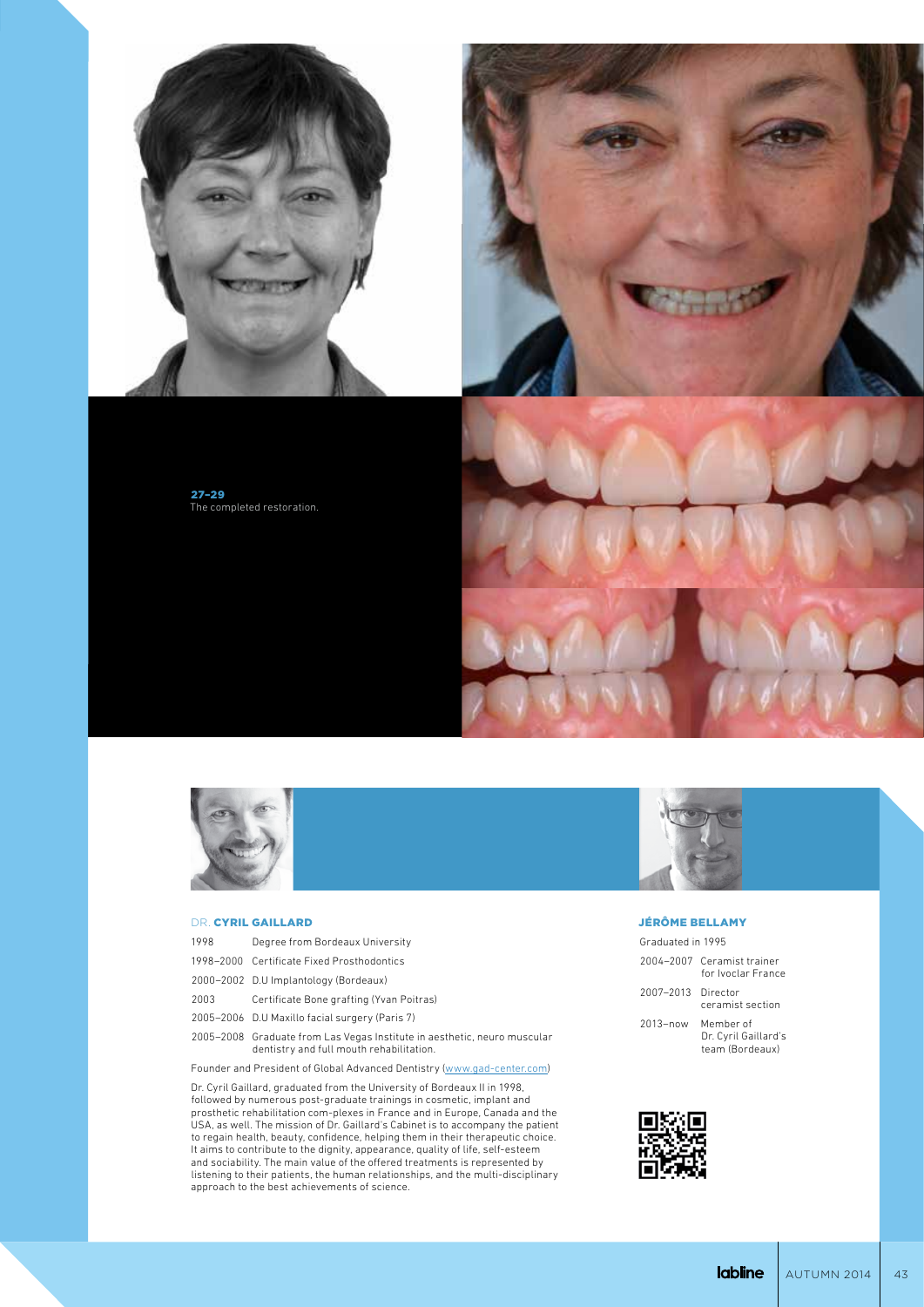

27–29 The completed restoration.





#### DR. CYRIL GAILLARD

| 1998 | Degree from Bordeaux University                                                                                      |
|------|----------------------------------------------------------------------------------------------------------------------|
|      | 1998-2000 Certificate Fixed Prosthodontics                                                                           |
|      | 2000-2002 D.U Implantology (Bordeaux)                                                                                |
| 2003 | Certificate Bone grafting (Yvan Poitras)                                                                             |
|      | 2005-2006 D.U Maxillo facial surgery (Paris 7)                                                                       |
|      | 2005-2008 Graduate from Las Vegas Institute in aesthetic, neuro muscular<br>dentistry and full mouth rehabilitation. |

Founder and President of Global Advanced Dentistry (www.gad-center.com)

Dr. Cyril Gaillard, graduated from the University of Bordeaux II in 1998, followed by numerous post-graduate trainings in cosmetic, implant and prosthetic rehabilitation com-plexes in France and in Europe, Canada and the USA, as well. The mission of Dr. Gaillard's Cabinet is to accompany the patient to regain health, beauty, confidence, helping them in their therapeutic choice. It aims to contribute to the dignity, appearance, quality of life, self-esteem and sociability. The main value of the offered treatments is represented by listening to their patients, the human relationships, and the multi-disciplinary approach to the best achievements of science.

#### JÉRÔME BELLAMY

| Graduated in 1995 |  |
|-------------------|--|
|                   |  |

| 2004-2007 Ceramist trainer |
|----------------------------|
| for Ivoclar France         |

2007–2013 Director ceramist section

2013–now Member of Dr. Cyril Gaillard's team (Bordeaux)